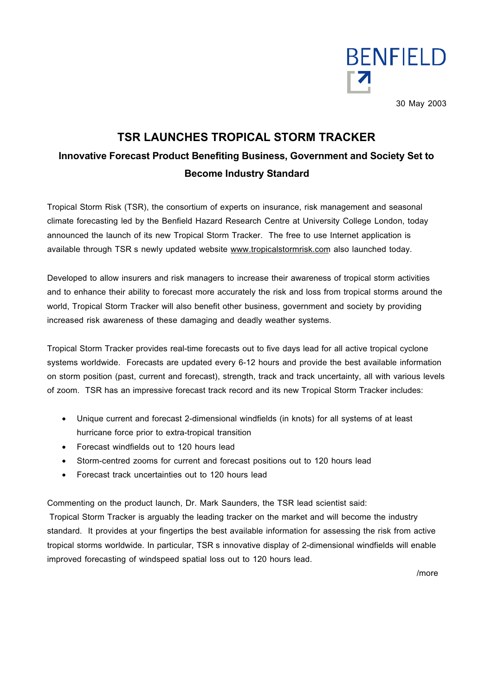

30 May 2003

# **TSR LAUNCHES TROPICAL STORM TRACKER Innovative Forecast Product Benefiting Business, Government and Society Set to Become Industry Standard**

Tropical Storm Risk (TSR), the consortium of experts on insurance, risk management and seasonal climate forecasting led by the Benfield Hazard Research Centre at University College London, today announced the launch of its new Tropical Storm Tracker. The free to use Internet application is available through TSR s newly updated website www.tropicalstormrisk.com also launched today.

Developed to allow insurers and risk managers to increase their awareness of tropical storm activities and to enhance their ability to forecast more accurately the risk and loss from tropical storms around the world, Tropical Storm Tracker will also benefit other business, government and society by providing increased risk awareness of these damaging and deadly weather systems.

Tropical Storm Tracker provides real-time forecasts out to five days lead for all active tropical cyclone systems worldwide. Forecasts are updated every 6-12 hours and provide the best available information on storm position (past, current and forecast), strength, track and track uncertainty, all with various levels of zoom. TSR has an impressive forecast track record and its new Tropical Storm Tracker includes:

- Unique current and forecast 2-dimensional windfields (in knots) for all systems of at least hurricane force prior to extra-tropical transition
- Forecast windfields out to 120 hours lead
- Storm-centred zooms for current and forecast positions out to 120 hours lead
- Forecast track uncertainties out to 120 hours lead

Commenting on the product launch, Dr. Mark Saunders, the TSR lead scientist said:

Tropical Storm Tracker is arguably the leading tracker on the market and will become the industry standard. It provides at your fingertips the best available information for assessing the risk from active tropical storms worldwide. In particular, TSR s innovative display of 2-dimensional windfields will enable improved forecasting of windspeed spatial loss out to 120 hours lead.

/more